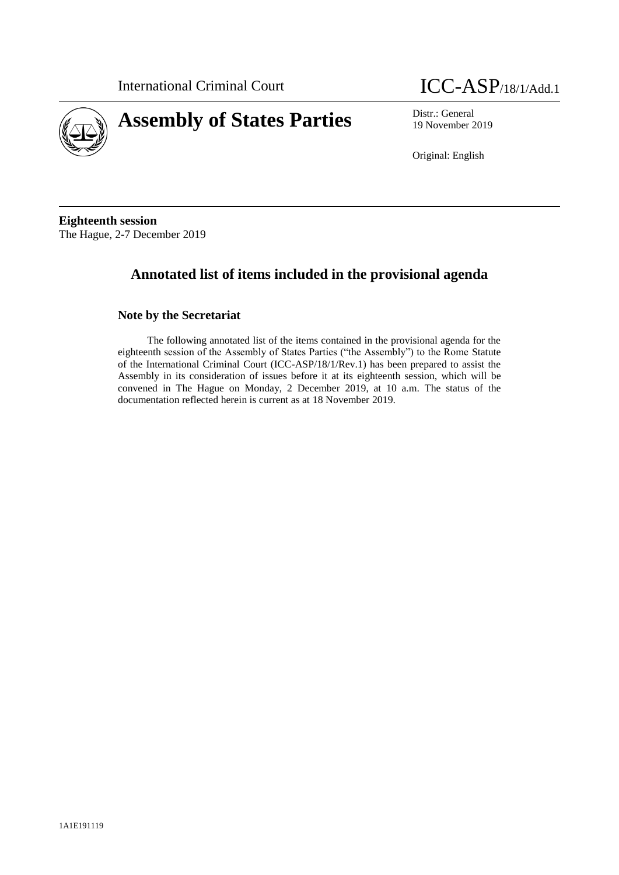



19 November 2019

Original: English

**Eighteenth session** The Hague, 2-7 December 2019

# **Annotated list of items included in the provisional agenda**

# **Note by the Secretariat**

The following annotated list of the items contained in the provisional agenda for the eighteenth session of the Assembly of States Parties ("the Assembly") to the Rome Statute of the International Criminal Court (ICC-ASP/18/1/Rev.1) has been prepared to assist the Assembly in its consideration of issues before it at its eighteenth session, which will be convened in The Hague on Monday, 2 December 2019, at 10 a.m. The status of the documentation reflected herein is current as at 18 November 2019.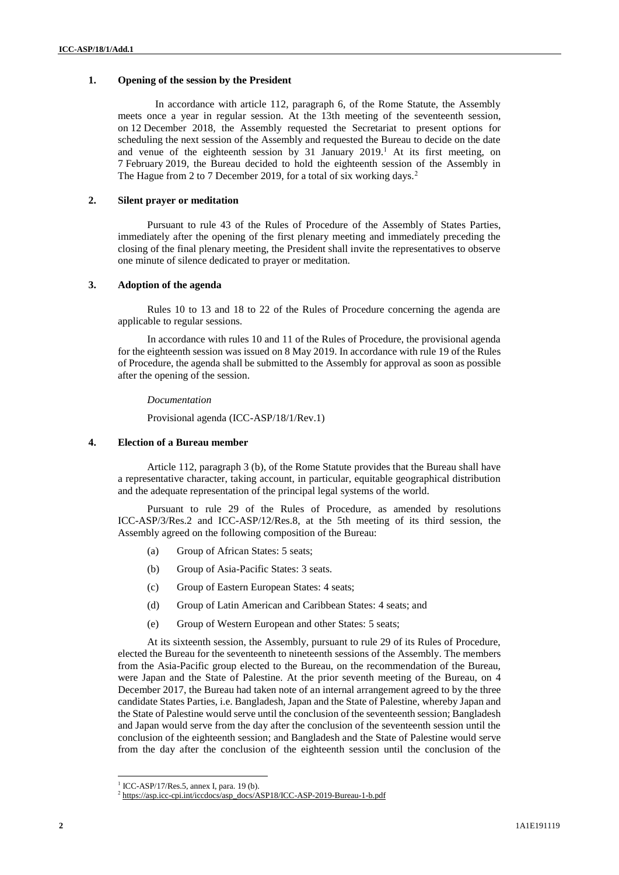## **1. Opening of the session by the President**

In accordance with article 112, paragraph 6, of the Rome Statute, the Assembly meets once a year in regular session. At the 13th meeting of the seventeenth session, on 12 December 2018, the Assembly requested the Secretariat to present options for scheduling the next session of the Assembly and requested the Bureau to decide on the date and venue of the eighteenth session by 31 January 2019.<sup>1</sup> At its first meeting, on 7 February 2019, the Bureau decided to hold the eighteenth session of the Assembly in The Hague from 2 to 7 December 2019, for a total of six working days.<sup>2</sup>

## **2. Silent prayer or meditation**

Pursuant to rule 43 of the Rules of Procedure of the Assembly of States Parties, immediately after the opening of the first plenary meeting and immediately preceding the closing of the final plenary meeting, the President shall invite the representatives to observe one minute of silence dedicated to prayer or meditation.

## **3. Adoption of the agenda**

Rules 10 to 13 and 18 to 22 of the Rules of Procedure concerning the agenda are applicable to regular sessions.

In accordance with rules 10 and 11 of the Rules of Procedure, the provisional agenda for the eighteenth session was issued on 8 May 2019. In accordance with rule 19 of the Rules of Procedure, the agenda shall be submitted to the Assembly for approval as soon as possible after the opening of the session.

## *Documentation*

Provisional agenda (ICC-ASP/18/1/Rev.1)

## **4. Election of a Bureau member**

Article 112, paragraph 3 (b), of the Rome Statute provides that the Bureau shall have a representative character, taking account, in particular, equitable geographical distribution and the adequate representation of the principal legal systems of the world.

Pursuant to rule 29 of the Rules of Procedure, as amended by resolutions ICC-ASP/3/Res.2 and ICC-ASP/12/Res.8, at the 5th meeting of its third session, the Assembly agreed on the following composition of the Bureau:

- (a) Group of African States: 5 seats;
- (b) Group of Asia-Pacific States: 3 seats.
- (c) Group of Eastern European States: 4 seats;
- (d) Group of Latin American and Caribbean States: 4 seats; and
- (e) Group of Western European and other States: 5 seats;

At its sixteenth session, the Assembly, pursuant to rule 29 of its Rules of Procedure, elected the Bureau for the seventeenth to nineteenth sessions of the Assembly. The members from the Asia-Pacific group elected to the Bureau, on the recommendation of the Bureau, were Japan and the State of Palestine. At the prior seventh meeting of the Bureau, on 4 December 2017, the Bureau had taken note of an internal arrangement agreed to by the three candidate States Parties, i.e. Bangladesh, Japan and the State of Palestine, whereby Japan and the State of Palestine would serve until the conclusion of the seventeenth session; Bangladesh and Japan would serve from the day after the conclusion of the seventeenth session until the conclusion of the eighteenth session; and Bangladesh and the State of Palestine would serve from the day after the conclusion of the eighteenth session until the conclusion of the

 1 ICC-ASP/17/Res.5, annex I, para. 19 (b).

<sup>2</sup> [https://asp.icc-cpi.int/iccdocs/asp\\_docs/ASP18/ICC-ASP-2019-Bureau-1-b.pdf](https://asp.icc-cpi.int/iccdocs/asp_docs/ASP18/ICC-ASP-2019-Bureau-1-b.pdf)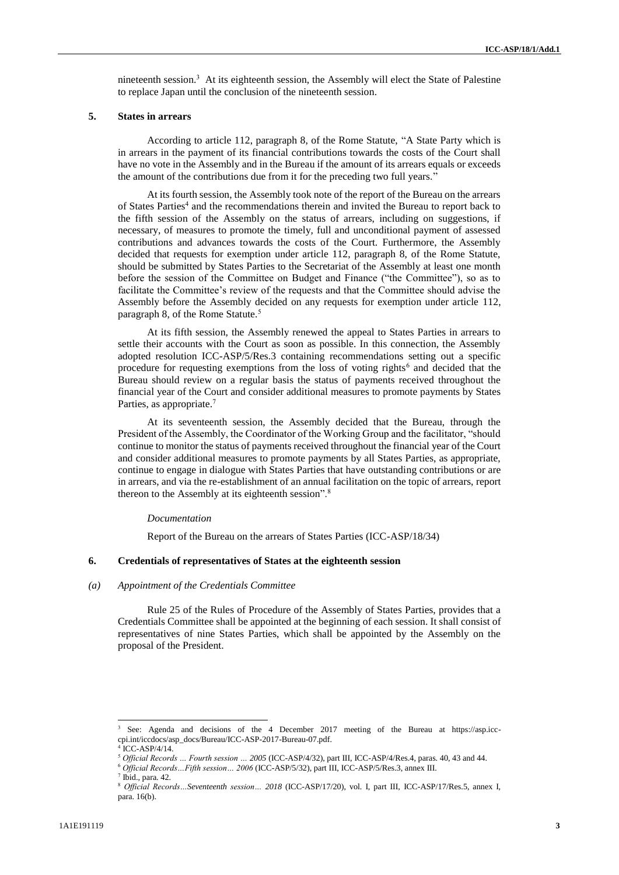nineteenth session. <sup>3</sup> At its eighteenth session, the Assembly will elect the State of Palestine to replace Japan until the conclusion of the nineteenth session.

### **5. States in arrears**

According to article 112, paragraph 8, of the Rome Statute, "A State Party which is in arrears in the payment of its financial contributions towards the costs of the Court shall have no vote in the Assembly and in the Bureau if the amount of its arrears equals or exceeds the amount of the contributions due from it for the preceding two full years."

At its fourth session, the Assembly took note of the report of the Bureau on the arrears of States Parties<sup>4</sup> and the recommendations therein and invited the Bureau to report back to the fifth session of the Assembly on the status of arrears, including on suggestions, if necessary, of measures to promote the timely, full and unconditional payment of assessed contributions and advances towards the costs of the Court. Furthermore, the Assembly decided that requests for exemption under article 112, paragraph 8, of the Rome Statute, should be submitted by States Parties to the Secretariat of the Assembly at least one month before the session of the Committee on Budget and Finance ("the Committee"), so as to facilitate the Committee's review of the requests and that the Committee should advise the Assembly before the Assembly decided on any requests for exemption under article 112, paragraph 8, of the Rome Statute.<sup>5</sup>

At its fifth session, the Assembly renewed the appeal to States Parties in arrears to settle their accounts with the Court as soon as possible. In this connection, the Assembly adopted resolution ICC-ASP/5/Res.3 containing recommendations setting out a specific procedure for requesting exemptions from the loss of voting rights<sup>6</sup> and decided that the Bureau should review on a regular basis the status of payments received throughout the financial year of the Court and consider additional measures to promote payments by States Parties, as appropriate.<sup>7</sup>

At its seventeenth session, the Assembly decided that the Bureau, through the President of the Assembly, the Coordinator of the Working Group and the facilitator, "should continue to monitor the status of payments received throughout the financial year of the Court and consider additional measures to promote payments by all States Parties, as appropriate, continue to engage in dialogue with States Parties that have outstanding contributions or are in arrears, and via the re-establishment of an annual facilitation on the topic of arrears, report thereon to the Assembly at its eighteenth session".<sup>8</sup>

#### *Documentation*

Report of the Bureau on the arrears of States Parties (ICC-ASP/18/34)

#### **6. Credentials of representatives of States at the eighteenth session**

## *(a) Appointment of the Credentials Committee*

Rule 25 of the Rules of Procedure of the Assembly of States Parties, provides that a Credentials Committee shall be appointed at the beginning of each session. It shall consist of representatives of nine States Parties, which shall be appointed by the Assembly on the proposal of the President.

<sup>3</sup> See: Agenda and decisions of the 4 December 2017 meeting of the Bureau at https://asp.icccpi.int/iccdocs/asp\_docs/Bureau/ICC-ASP-2017-Bureau-07.pdf.

<sup>4</sup> ICC-ASP/4/14.

<sup>5</sup> *Official Records … Fourth session … 2005* (ICC-ASP/4/32), part III, ICC-ASP/4/Res.4, paras. 40, 43 and 44.

<sup>6</sup> *Official Records…Fifth session… 2006* (ICC-ASP/5/32), part III, ICC-ASP/5/Res.3, annex III.

 $<sup>7</sup>$  Ibid., para. 42.</sup>

<sup>8</sup> *Official Records…Seventeenth session… 2018* (ICC-ASP/17/20), vol. I, part III, ICC-ASP/17/Res.5, annex I, para. 16(b).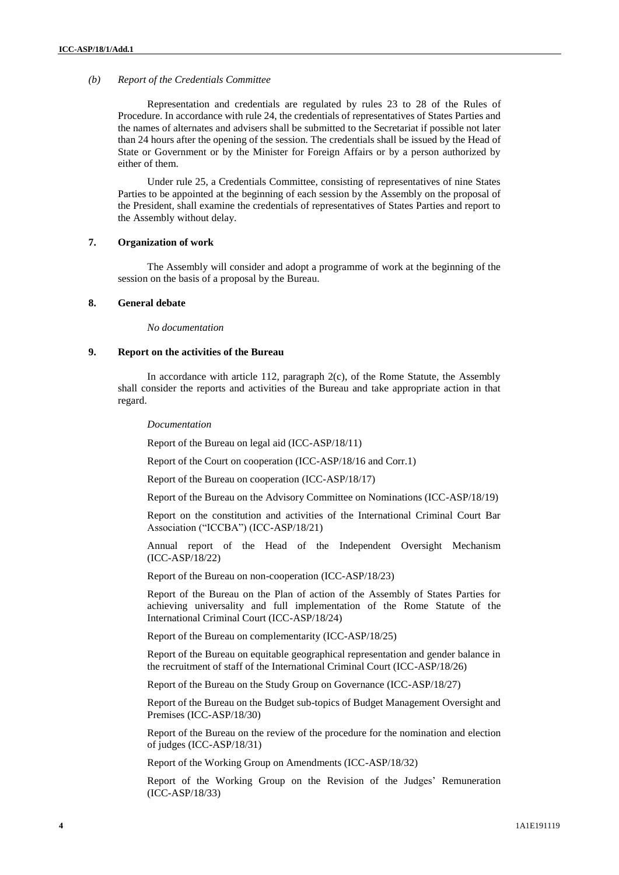## *(b) Report of the Credentials Committee*

Representation and credentials are regulated by rules 23 to 28 of the Rules of Procedure. In accordance with rule 24, the credentials of representatives of States Parties and the names of alternates and advisers shall be submitted to the Secretariat if possible not later than 24 hours after the opening of the session. The credentials shall be issued by the Head of State or Government or by the Minister for Foreign Affairs or by a person authorized by either of them.

Under rule 25, a Credentials Committee, consisting of representatives of nine States Parties to be appointed at the beginning of each session by the Assembly on the proposal of the President, shall examine the credentials of representatives of States Parties and report to the Assembly without delay.

## **7. Organization of work**

The Assembly will consider and adopt a programme of work at the beginning of the session on the basis of a proposal by the Bureau.

# **8. General debate**

*No documentation*

## **9. Report on the activities of the Bureau**

In accordance with article 112, paragraph 2(c), of the Rome Statute, the Assembly shall consider the reports and activities of the Bureau and take appropriate action in that regard.

*Documentation*

Report of the Bureau on legal aid (ICC-ASP/18/11)

Report of the Court on cooperation (ICC-ASP/18/16 and Corr.1)

Report of the Bureau on cooperation (ICC-ASP/18/17)

Report of the Bureau on the Advisory Committee on Nominations (ICC-ASP/18/19)

Report on the constitution and activities of the International Criminal Court Bar Association ("ICCBA") (ICC-ASP/18/21)

Annual report of the Head of the Independent Oversight Mechanism (ICC-ASP/18/22)

Report of the Bureau on non-cooperation (ICC-ASP/18/23)

Report of the Bureau on the Plan of action of the Assembly of States Parties for achieving universality and full implementation of the Rome Statute of the International Criminal Court (ICC-ASP/18/24)

Report of the Bureau on complementarity (ICC-ASP/18/25)

Report of the Bureau on equitable geographical representation and gender balance in the recruitment of staff of the International Criminal Court (ICC-ASP/18/26)

Report of the Bureau on the Study Group on Governance (ICC-ASP/18/27)

Report of the Bureau on the Budget sub-topics of Budget Management Oversight and Premises (ICC-ASP/18/30)

Report of the Bureau on the review of the procedure for the nomination and election of judges (ICC-ASP/18/31)

Report of the Working Group on Amendments (ICC-ASP/18/32)

Report of the Working Group on the Revision of the Judges' Remuneration (ICC-ASP/18/33)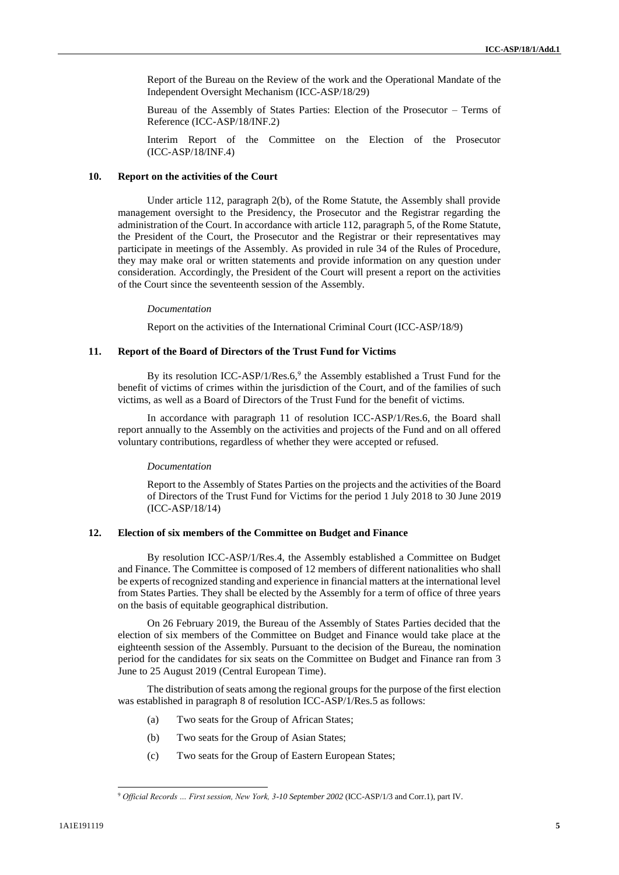Report of the Bureau on the Review of the work and the Operational Mandate of the Independent Oversight Mechanism (ICC-ASP/18/29)

Bureau of the Assembly of States Parties: Election of the Prosecutor – Terms of Reference (ICC-ASP/18/INF.2)

Interim Report of the Committee on the Election of the Prosecutor (ICC-ASP/18/INF.4)

# **10. Report on the activities of the Court**

Under article 112, paragraph 2(b), of the Rome Statute, the Assembly shall provide management oversight to the Presidency, the Prosecutor and the Registrar regarding the administration of the Court. In accordance with article 112, paragraph 5, of the Rome Statute, the President of the Court, the Prosecutor and the Registrar or their representatives may participate in meetings of the Assembly. As provided in rule 34 of the Rules of Procedure, they may make oral or written statements and provide information on any question under consideration. Accordingly, the President of the Court will present a report on the activities of the Court since the seventeenth session of the Assembly.

#### *Documentation*

Report on the activities of the International Criminal Court (ICC-ASP/18/9)

## **11. Report of the Board of Directors of the Trust Fund for Victims**

By its resolution ICC-ASP/1/Res.6,<sup>9</sup> the Assembly established a Trust Fund for the benefit of victims of crimes within the jurisdiction of the Court, and of the families of such victims, as well as a Board of Directors of the Trust Fund for the benefit of victims.

In accordance with paragraph 11 of resolution ICC-ASP/1/Res.6, the Board shall report annually to the Assembly on the activities and projects of the Fund and on all offered voluntary contributions, regardless of whether they were accepted or refused.

#### *Documentation*

Report to the Assembly of States Parties on the projects and the activities of the Board of Directors of the Trust Fund for Victims for the period 1 July 2018 to 30 June 2019 (ICC-ASP/18/14)

#### **12. Election of six members of the Committee on Budget and Finance**

By resolution ICC-ASP/1/Res.4, the Assembly established a Committee on Budget and Finance. The Committee is composed of 12 members of different nationalities who shall be experts of recognized standing and experience in financial matters at the international level from States Parties. They shall be elected by the Assembly for a term of office of three years on the basis of equitable geographical distribution.

On 26 February 2019, the Bureau of the Assembly of States Parties decided that the election of six members of the Committee on Budget and Finance would take place at the eighteenth session of the Assembly. Pursuant to the decision of the Bureau, the nomination period for the candidates for six seats on the Committee on Budget and Finance ran from 3 June to 25 August 2019 (Central European Time).

The distribution of seats among the regional groups for the purpose of the first election was established in paragraph 8 of resolution ICC-ASP/1/Res.5 as follows:

- (a) Two seats for the Group of African States;
- (b) Two seats for the Group of Asian States;
- (c) Two seats for the Group of Eastern European States;

<sup>9</sup> *Official Records … First session, New York, 3-10 September 2002* (ICC-ASP/1/3 and Corr.1), part IV.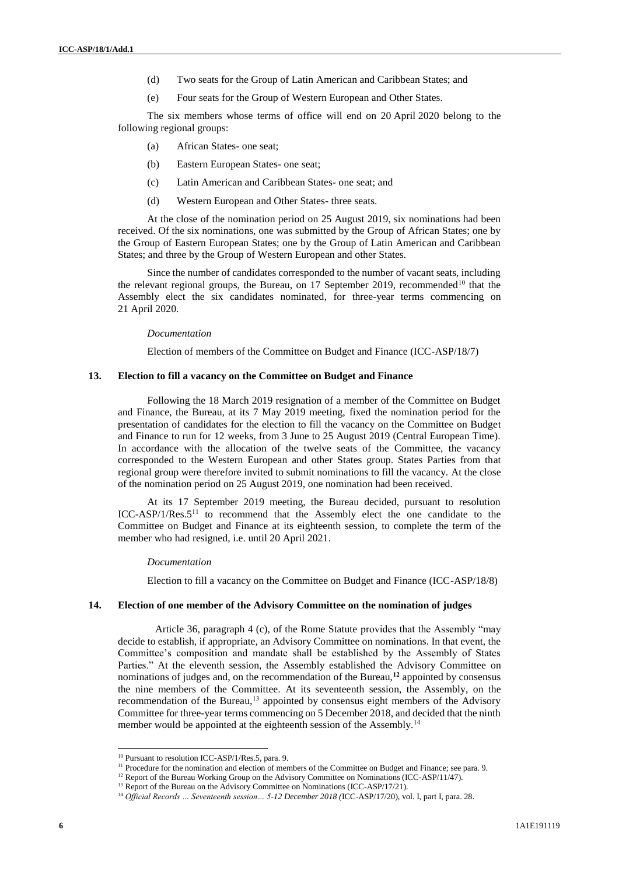- (d) Two seats for the Group of Latin American and Caribbean States; and
- (e) Four seats for the Group of Western European and Other States.

The six members whose terms of office will end on 20 April 2020 belong to the following regional groups:

- (a) African States- one seat;
- (b) Eastern European States- one seat;
- (c) Latin American and Caribbean States- one seat; and
- (d) Western European and Other States- three seats.

At the close of the nomination period on 25 August 2019, six nominations had been received. Of the six nominations, one was submitted by the Group of African States; one by the Group of Eastern European States; one by the Group of Latin American and Caribbean States; and three by the Group of Western European and other States.

Since the number of candidates corresponded to the number of vacant seats, including the relevant regional groups, the Bureau, on 17 September 2019, recommended<sup>10</sup> that the Assembly elect the six candidates nominated, for three-year terms commencing on 21 April 2020.

### *Documentation*

Election of members of the Committee on Budget and Finance (ICC-ASP/18/7)

#### **13. Election to fill a vacancy on the Committee on Budget and Finance**

Following the 18 March 2019 resignation of a member of the Committee on Budget and Finance, the Bureau, at its 7 May 2019 meeting, fixed the nomination period for the presentation of candidates for the election to fill the vacancy on the Committee on Budget and Finance to run for 12 weeks, from 3 June to 25 August 2019 (Central European Time). In accordance with the allocation of the twelve seats of the Committee, the vacancy corresponded to the Western European and other States group. States Parties from that regional group were therefore invited to submit nominations to fill the vacancy. At the close of the nomination period on 25 August 2019, one nomination had been received.

At its 17 September 2019 meeting, the Bureau decided, pursuant to resolution ICC-ASP/1/Res.5<sup>11</sup> to recommend that the Assembly elect the one candidate to the Committee on Budget and Finance at its eighteenth session, to complete the term of the member who had resigned, i.e. until 20 April 2021.

## *Documentation*

Election to fill a vacancy on the Committee on Budget and Finance (ICC-ASP/18/8)

## **14. Election of one member of the Advisory Committee on the nomination of judges**

Article 36, paragraph 4 (c), of the Rome Statute provides that the Assembly "may decide to establish, if appropriate, an Advisory Committee on nominations. In that event, the Committee's composition and mandate shall be established by the Assembly of States Parties." At the eleventh session, the Assembly established the Advisory Committee on nominations of judges and, on the recommendation of the Bureau,**<sup>12</sup>** appointed by consensus the nine members of the Committee. At its seventeenth session, the Assembly, on the recommendation of the Bureau, $13$  appointed by consensus eight members of the Advisory Committee for three-year terms commencing on 5 December 2018, and decided that the ninth member would be appointed at the eighteenth session of the Assembly.<sup>14</sup>

<sup>&</sup>lt;sup>10</sup> Pursuant to resolution ICC-ASP/1/Res.5, para. 9.

<sup>&</sup>lt;sup>11</sup> Procedure for the nomination and election of members of the Committee on Budget and Finance; see para. 9.

<sup>&</sup>lt;sup>12</sup> Report of the Bureau Working Group on the Advisory Committee on Nominations (ICC-ASP/11/47).

<sup>&</sup>lt;sup>13</sup> Report of the Bureau on the Advisory Committee on Nominations (ICC-ASP/17/21).

<sup>14</sup> *Official Records … Seventeenth session… 5-12 December 2018 (*ICC-ASP/17/20), vol. I, part I, para. 28.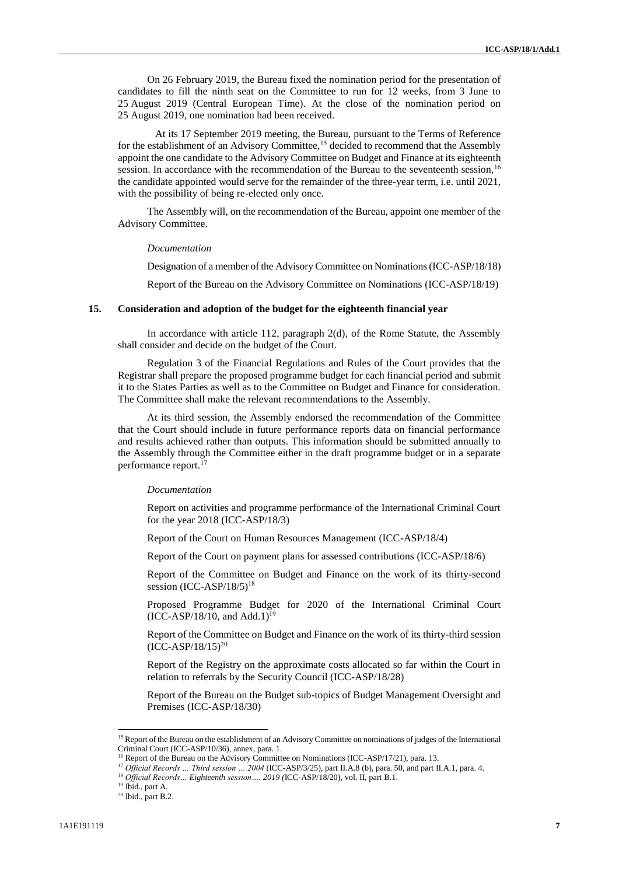On 26 February 2019, the Bureau fixed the nomination period for the presentation of candidates to fill the ninth seat on the Committee to run for 12 weeks, from 3 June to 25 August 2019 (Central European Time). At the close of the nomination period on 25 August 2019, one nomination had been received.

At its 17 September 2019 meeting, the Bureau, pursuant to the Terms of Reference for the establishment of an Advisory Committee,<sup>15</sup> decided to recommend that the Assembly appoint the one candidate to the Advisory Committee on Budget and Finance at its eighteenth session. In accordance with the recommendation of the Bureau to the seventeenth session,<sup>16</sup> the candidate appointed would serve for the remainder of the three-year term, i.e. until 2021, with the possibility of being re-elected only once.

The Assembly will, on the recommendation of the Bureau, appoint one member of the Advisory Committee.

## *Documentation*

Designation of a member of the Advisory Committee on Nominations(ICC-ASP/18/18) Report of the Bureau on the Advisory Committee on Nominations (ICC-ASP/18/19)

#### **15. Consideration and adoption of the budget for the eighteenth financial year**

In accordance with article 112, paragraph 2(d), of the Rome Statute, the Assembly shall consider and decide on the budget of the Court.

Regulation 3 of the Financial Regulations and Rules of the Court provides that the Registrar shall prepare the proposed programme budget for each financial period and submit it to the States Parties as well as to the Committee on Budget and Finance for consideration. The Committee shall make the relevant recommendations to the Assembly.

At its third session, the Assembly endorsed the recommendation of the Committee that the Court should include in future performance reports data on financial performance and results achieved rather than outputs. This information should be submitted annually to the Assembly through the Committee either in the draft programme budget or in a separate performance report.<sup>17</sup>

#### *Documentation*

Report on activities and programme performance of the International Criminal Court for the year 2018 (ICC-ASP/18/3)

Report of the Court on Human Resources Management (ICC-ASP/18/4)

Report of the Court on payment plans for assessed contributions (ICC-ASP/18/6)

Report of the Committee on Budget and Finance on the work of its thirty-second session (ICC-ASP/18/5)<sup>18</sup>

Proposed Programme Budget for 2020 of the International Criminal Court  $(ICC-ASP/18/10, and Add.1)^{19}$ 

Report of the Committee on Budget and Finance on the work of its thirty-third session  $(ICC-ASP/18/15)^{20}$ 

Report of the Registry on the approximate costs allocated so far within the Court in relation to referrals by the Security Council (ICC-ASP/18/28)

Report of the Bureau on the Budget sub-topics of Budget Management Oversight and Premises (ICC-ASP/18/30)

<sup>&</sup>lt;sup>15</sup> Report of the Bureau on the establishment of an Advisory Committee on nominations of judges of the International Criminal Court (ICC-ASP/10/36), annex, para. 1.

<sup>&</sup>lt;sup>16</sup> Report of the Bureau on the Advisory Committee on Nominations (ICC-ASP/17/21), para. 13.

<sup>17</sup> *Official Records … Third session … 2004* (ICC-ASP/3/25), part II.A.8 (b), para. 50, and part II.A.1, para. 4.

<sup>18</sup> *Official Records… Eighteenth session…. 2019 (*ICC-ASP/18/20), vol. II, part B.1.

<sup>19</sup> Ibid., part A.

 $20$  Ibid., part B.2.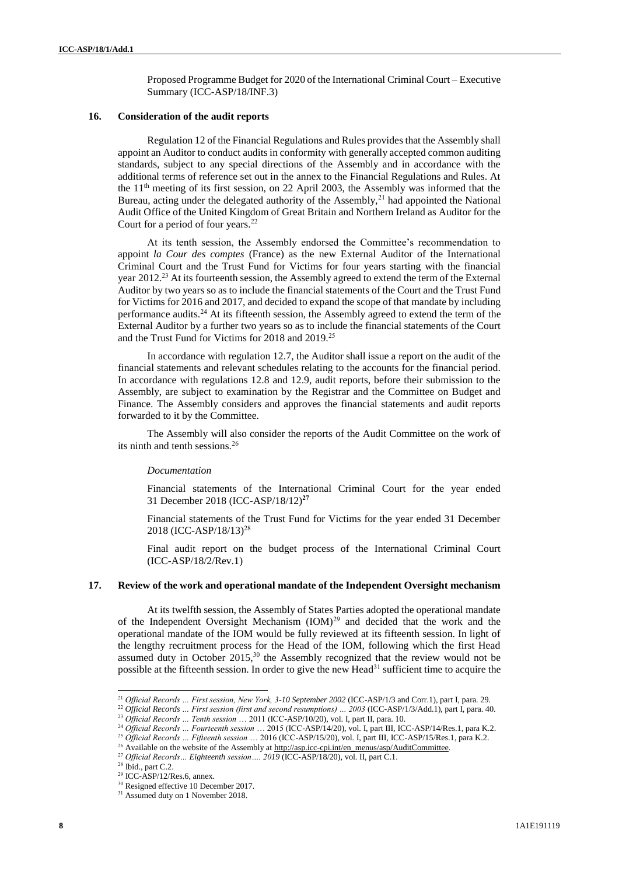Proposed Programme Budget for 2020 of the International Criminal Court – Executive Summary (ICC-ASP/18/INF.3)

### **16. Consideration of the audit reports**

Regulation 12 of the Financial Regulations and Rules provides that the Assembly shall appoint an Auditor to conduct audits in conformity with generally accepted common auditing standards, subject to any special directions of the Assembly and in accordance with the additional terms of reference set out in the annex to the Financial Regulations and Rules. At the 11th meeting of its first session, on 22 April 2003, the Assembly was informed that the Bureau, acting under the delegated authority of the Assembly,<sup>21</sup> had appointed the National Audit Office of the United Kingdom of Great Britain and Northern Ireland as Auditor for the Court for a period of four years.<sup>22</sup>

At its tenth session, the Assembly endorsed the Committee's recommendation to appoint *la Cour des comptes* (France) as the new External Auditor of the International Criminal Court and the Trust Fund for Victims for four years starting with the financial year 2012.<sup>23</sup> At its fourteenth session, the Assembly agreed to extend the term of the External Auditor by two years so as to include the financial statements of the Court and the Trust Fund for Victims for 2016 and 2017, and decided to expand the scope of that mandate by including performance audits.<sup>24</sup> At its fifteenth session, the Assembly agreed to extend the term of the External Auditor by a further two years so as to include the financial statements of the Court and the Trust Fund for Victims for 2018 and 2019.<sup>25</sup>

In accordance with regulation 12.7, the Auditor shall issue a report on the audit of the financial statements and relevant schedules relating to the accounts for the financial period. In accordance with regulations 12.8 and 12.9, audit reports, before their submission to the Assembly, are subject to examination by the Registrar and the Committee on Budget and Finance. The Assembly considers and approves the financial statements and audit reports forwarded to it by the Committee.

The Assembly will also consider the reports of the Audit Committee on the work of its ninth and tenth sessions.<sup>26</sup>

## *Documentation*

Financial statements of the International Criminal Court for the year ended 31 December 2018 (ICC-ASP/18/12) **27**

Financial statements of the Trust Fund for Victims for the year ended 31 December 2018 (ICC-ASP/18/13) 28

Final audit report on the budget process of the International Criminal Court (ICC-ASP/18/2/Rev.1)

## **17. Review of the work and operational mandate of the Independent Oversight mechanism**

At its twelfth session, the Assembly of States Parties adopted the operational mandate of the Independent Oversight Mechanism  $(IOM)^{29}$  and decided that the work and the operational mandate of the IOM would be fully reviewed at its fifteenth session. In light of the lengthy recruitment process for the Head of the IOM, following which the first Head assumed duty in October 2015,<sup>30</sup> the Assembly recognized that the review would not be possible at the fifteenth session. In order to give the new Head<sup>31</sup> sufficient time to acquire the

<sup>22</sup> *Official Records … First session (first and second resumptions) … 2003* (ICC-ASP/1/3/Add.1), part I, para. 40.

<sup>21</sup> *Official Records … First session, New York, 3-10 September 2002* (ICC-ASP/1/3 and Corr.1), part I, para. 29.

<sup>23</sup> *Official Records … Tenth session* … 2011 (ICC-ASP/10/20), vol. I, part II, para. 10.

<sup>&</sup>lt;sup>24</sup> Official Records ... Fourteenth session ... 2015 (ICC-ASP/14/20), vol. I, part III, ICC-ASP/14/Res.1, para K.2.

<sup>25</sup> *Official Records … Fifteenth session* … 2016 (ICC-ASP/15/20), vol. I, part III, ICC-ASP/15/Res.1, para K.2.

<sup>&</sup>lt;sup>26</sup> Available on the website of the Assembly at [http://asp.icc-cpi.int/en\\_menus/asp/AuditCommittee.](http://asp.icc-cpi.int/en_menus/asp/AuditCommittee)

<sup>27</sup> *Official Records… Eighteenth session…. 2019* (ICC-ASP/18/20), vol. II, part C.1.

 $28$  Ibid., part C.2.

 $29$  ICC-ASP/12/Res.6, annex.

<sup>30</sup> Resigned effective 10 December 2017.

<sup>&</sup>lt;sup>31</sup> Assumed duty on 1 November 2018.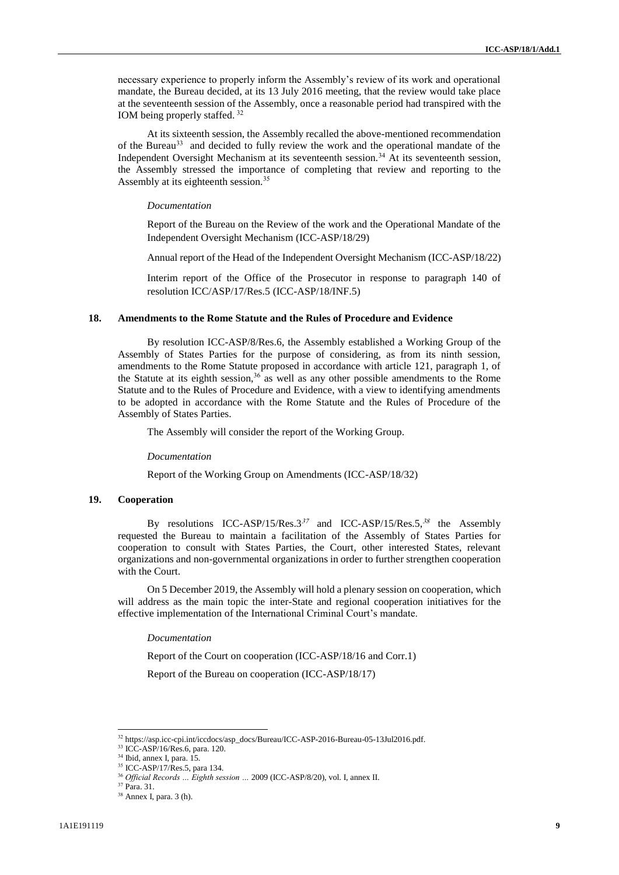necessary experience to properly inform the Assembly's review of its work and operational mandate, the Bureau decided, at its 13 July 2016 meeting, that the review would take place at the seventeenth session of the Assembly, once a reasonable period had transpired with the IOM being properly staffed. <sup>32</sup>

At its sixteenth session, the Assembly recalled the above-mentioned recommendation of the Bureau<sup>33</sup> and decided to fully review the work and the operational mandate of the Independent Oversight Mechanism at its seventeenth session.<sup>34</sup> At its seventeenth session, the Assembly stressed the importance of completing that review and reporting to the Assembly at its eighteenth session.<sup>35</sup>

#### *Documentation*

Report of the Bureau on the Review of the work and the Operational Mandate of the Independent Oversight Mechanism (ICC-ASP/18/29)

Annual report of the Head of the Independent Oversight Mechanism (ICC-ASP/18/22)

Interim report of the Office of the Prosecutor in response to paragraph 140 of resolution ICC/ASP/17/Res.5 (ICC-ASP/18/INF.5)

## **18. Amendments to the Rome Statute and the Rules of Procedure and Evidence**

By resolution ICC-ASP/8/Res.6, the Assembly established a Working Group of the Assembly of States Parties for the purpose of considering, as from its ninth session, amendments to the Rome Statute proposed in accordance with article 121, paragraph 1, of the Statute at its eighth session,  $36$  as well as any other possible amendments to the Rome Statute and to the Rules of Procedure and Evidence, with a view to identifying amendments to be adopted in accordance with the Rome Statute and the Rules of Procedure of the Assembly of States Parties.

The Assembly will consider the report of the Working Group.

*Documentation*

Report of the Working Group on Amendments (ICC-ASP/18/32)

## **19. Cooperation**

By resolutions ICC-ASP/15/Res.3<sup>37</sup> and ICC-ASP/15/Res.5,<sup>38</sup> the Assembly requested the Bureau to maintain a facilitation of the Assembly of States Parties for cooperation to consult with States Parties, the Court, other interested States, relevant organizations and non-governmental organizations in order to further strengthen cooperation with the Court.

On 5 December 2019, the Assembly will hold a plenary session on cooperation, which will address as the main topic the inter-State and regional cooperation initiatives for the effective implementation of the International Criminal Court's mandate.

*Documentation*

Report of the Court on cooperation (ICC-ASP/18/16 and Corr.1)

Report of the Bureau on cooperation (ICC-ASP/18/17)

<sup>32</sup> [https://asp.icc-cpi.int/iccdocs/asp\\_docs/Bureau/ICC-ASP-2016-Bureau-05-13Jul2016.pdf.](https://asp.icc-cpi.int/iccdocs/asp_docs/Bureau/ICC-ASP-2016-Bureau-05-13Jul2016.pdf)

<sup>33</sup> ICC-ASP/16/Res.6, para. 120.

<sup>34</sup> Ibid, annex I, para. 15.

<sup>35</sup> ICC-ASP/17/Res.5, para 134.

<sup>36</sup> *Official Records … Eighth session …* 2009 (ICC-ASP/8/20), vol. I, annex II.

<sup>37</sup> Para. 31.

<sup>38</sup> Annex I, para. 3 (h).